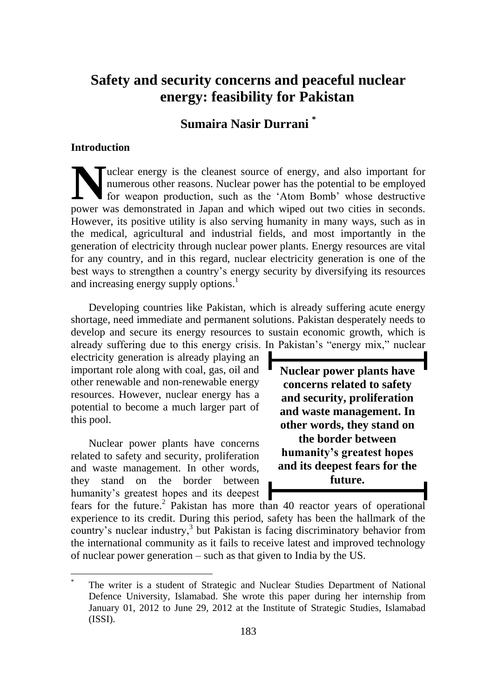**Sumaira Nasir Durrani \***

#### **Introduction**

 $\overline{a}$ 

uclear energy is the cleanest source of energy, and also important for numerous other reasons. Nuclear power has the potential to be employed for weapon production, such as the "Atom Bomb" whose destructive **EXECUTE:** The cleanest source of energy, and also important for numerous other reasons. Nuclear power has the potential to be employed for weapon production, such as the 'Atom Bomb' whose destructive power was demonstrate However, its positive utility is also serving humanity in many ways, such as in the medical, agricultural and industrial fields, and most importantly in the generation of electricity through nuclear power plants. Energy resources are vital for any country, and in this regard, nuclear electricity generation is one of the best ways to strengthen a country"s energy security by diversifying its resources and increasing energy supply options.<sup>1</sup>

Developing countries like Pakistan, which is already suffering acute energy shortage, need immediate and permanent solutions. Pakistan desperately needs to develop and secure its energy resources to sustain economic growth, which is already suffering due to this energy crisis. In Pakistan"s "energy mix," nuclear

electricity generation is already playing an important role along with coal, gas, oil and other renewable and non-renewable energy resources. However, nuclear energy has a potential to become a much larger part of this pool.

Nuclear power plants have concerns related to safety and security, proliferation and waste management. In other words, they stand on the border between humanity's greatest hopes and its deepest

**Nuclear power plants have concerns related to safety and security, proliferation and waste management. In other words, they stand on the border between humanity's greatest hopes and its deepest fears for the future.**

fears for the future.<sup>2</sup> Pakistan has more than 40 reactor years of operational experience to its credit. During this period, safety has been the hallmark of the country's nuclear industry,<sup>3</sup> but Pakistan is facing discriminatory behavior from the international community as it fails to receive latest and improved technology of nuclear power generation – such as that given to India by the US.

The writer is a student of Strategic and Nuclear Studies Department of National Defence University, Islamabad. She wrote this paper during her internship from January 01, 2012 to June 29, 2012 at the Institute of Strategic Studies, Islamabad (ISSI).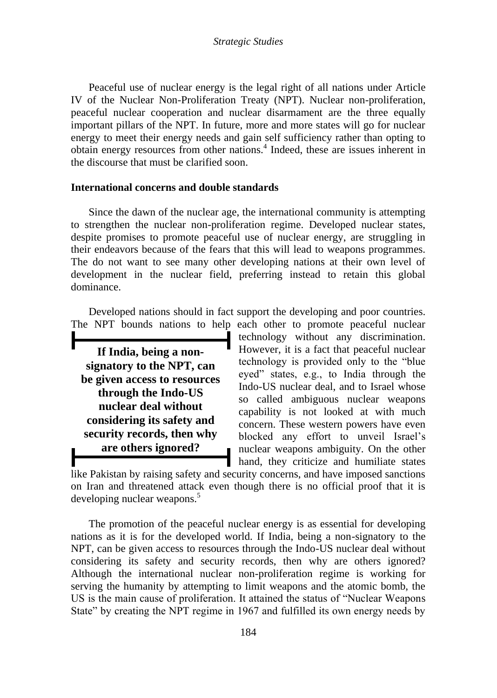Peaceful use of nuclear energy is the legal right of all nations under Article IV of the Nuclear Non-Proliferation Treaty (NPT). Nuclear non-proliferation, peaceful nuclear cooperation and nuclear disarmament are the three equally important pillars of the NPT. In future, more and more states will go for nuclear energy to meet their energy needs and gain self sufficiency rather than opting to obtain energy resources from other nations.<sup>4</sup> Indeed, these are issues inherent in the discourse that must be clarified soon.

#### **International concerns and double standards**

Since the dawn of the nuclear age, the international community is attempting to strengthen the nuclear non-proliferation regime. Developed nuclear states, despite promises to promote peaceful use of nuclear energy, are struggling in their endeavors because of the fears that this will lead to weapons programmes. The do not want to see many other developing nations at their own level of development in the nuclear field, preferring instead to retain this global dominance.

Developed nations should in fact support the developing and poor countries. The NPT bounds nations to help each other to promote peaceful nuclear

**If India, being a nonsignatory to the NPT, can be given access to resources through the Indo-US nuclear deal without considering its safety and security records, then why are others ignored?**

technology without any discrimination. However, it is a fact that peaceful nuclear technology is provided only to the "blue eyed" states, e.g., to India through the Indo-US nuclear deal, and to Israel whose so called ambiguous nuclear weapons capability is not looked at with much concern. These western powers have even blocked any effort to unveil Israel"s nuclear weapons ambiguity. On the other hand, they criticize and humiliate states

like Pakistan by raising safety and security concerns, and have imposed sanctions on Iran and threatened attack even though there is no official proof that it is developing nuclear weapons.<sup>5</sup>

The promotion of the peaceful nuclear energy is as essential for developing nations as it is for the developed world. If India, being a non-signatory to the NPT, can be given access to resources through the Indo-US nuclear deal without considering its safety and security records, then why are others ignored? Although the international nuclear non-proliferation regime is working for serving the humanity by attempting to limit weapons and the atomic bomb, the US is the main cause of proliferation. It attained the status of "Nuclear Weapons State" by creating the NPT regime in 1967 and fulfilled its own energy needs by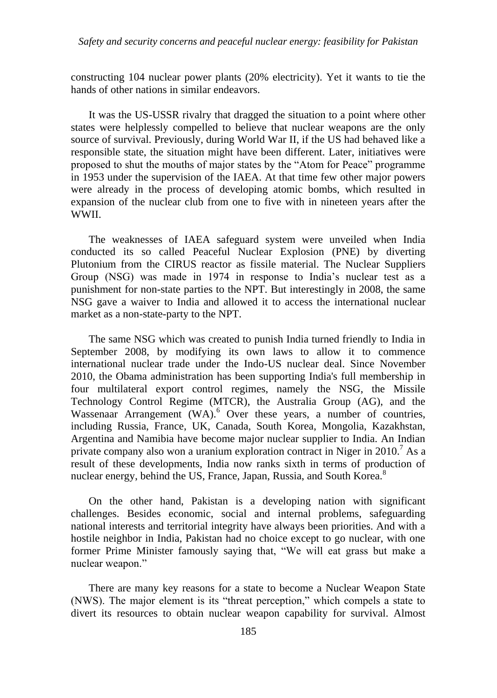constructing 104 nuclear power plants (20% electricity). Yet it wants to tie the hands of other nations in similar endeavors.

It was the US-USSR rivalry that dragged the situation to a point where other states were helplessly compelled to believe that nuclear weapons are the only source of survival. Previously, during World War II, if the US had behaved like a responsible state, the situation might have been different. Later, initiatives were proposed to shut the mouths of major states by the "Atom for Peace" programme in 1953 under the supervision of the IAEA. At that time few other major powers were already in the process of developing atomic bombs, which resulted in expansion of the nuclear club from one to five with in nineteen years after the WWII.

The weaknesses of IAEA safeguard system were unveiled when India conducted its so called Peaceful Nuclear Explosion (PNE) by diverting Plutonium from the CIRUS reactor as fissile material. The Nuclear Suppliers Group (NSG) was made in 1974 in response to India"s nuclear test as a punishment for non-state parties to the NPT. But interestingly in 2008, the same NSG gave a waiver to India and allowed it to access the international nuclear market as a non-state-party to the NPT.

The same NSG which was created to punish India turned friendly to India in September 2008, by modifying its own laws to allow it to commence international nuclear trade under the Indo-US nuclear deal. Since November 2010, the Obama administration has been supporting India's full membership in four multilateral export control regimes, namely the NSG, the Missile Technology Control Regime (MTCR), the Australia Group (AG), and the Wassenaar Arrangement (WA).<sup>6</sup> Over these years, a number of countries, including Russia, France, UK, Canada, South Korea, Mongolia, Kazakhstan, Argentina and Namibia have become major nuclear supplier to India. An Indian private company also won a uranium exploration contract in Niger in 2010.<sup>7</sup> As a result of these developments, India now ranks sixth in terms of production of nuclear energy, behind the US, France, Japan, Russia, and South Korea.<sup>8</sup>

On the other hand, Pakistan is a developing nation with significant challenges. Besides economic, social and internal problems, safeguarding national interests and territorial integrity have always been priorities. And with a hostile neighbor in India, Pakistan had no choice except to go nuclear, with one former Prime Minister famously saying that, "We will eat grass but make a nuclear weapon."

There are many key reasons for a state to become a Nuclear Weapon State (NWS). The major element is its "threat perception," which compels a state to divert its resources to obtain nuclear weapon capability for survival. Almost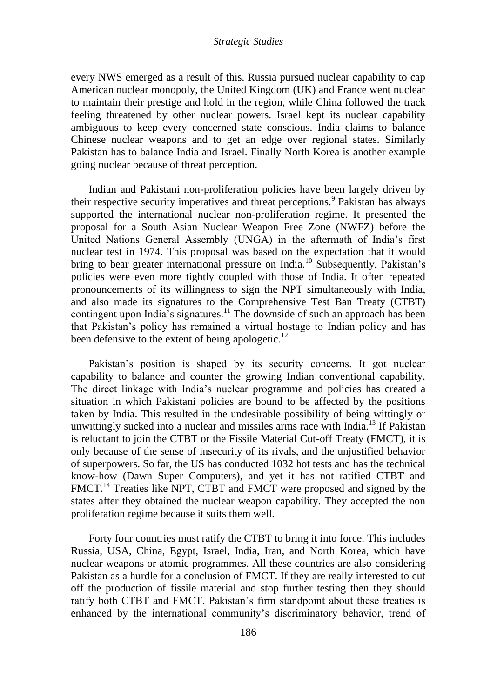every NWS emerged as a result of this. Russia pursued nuclear capability to cap American nuclear monopoly, the United Kingdom (UK) and France went nuclear to maintain their prestige and hold in the region, while China followed the track feeling threatened by other nuclear powers. Israel kept its nuclear capability ambiguous to keep every concerned state conscious. India claims to balance Chinese nuclear weapons and to get an edge over regional states. Similarly Pakistan has to balance India and Israel. Finally North Korea is another example going nuclear because of threat perception.

Indian and Pakistani non-proliferation policies have been largely driven by their respective security imperatives and threat perceptions.<sup>9</sup> Pakistan has always supported the international nuclear non-proliferation regime. It presented the proposal for a South Asian Nuclear Weapon Free Zone (NWFZ) before the United Nations General Assembly (UNGA) in the aftermath of India"s first nuclear test in 1974. This proposal was based on the expectation that it would bring to bear greater international pressure on India.<sup>10</sup> Subsequently, Pakistan's policies were even more tightly coupled with those of India. It often repeated pronouncements of its willingness to sign the NPT simultaneously with India, and also made its signatures to the Comprehensive Test Ban Treaty (CTBT) contingent upon India's signatures.<sup>11</sup> The downside of such an approach has been that Pakistan"s policy has remained a virtual hostage to Indian policy and has been defensive to the extent of being apologetic. $^{12}$ 

Pakistan"s position is shaped by its security concerns. It got nuclear capability to balance and counter the growing Indian conventional capability. The direct linkage with India"s nuclear programme and policies has created a situation in which Pakistani policies are bound to be affected by the positions taken by India. This resulted in the undesirable possibility of being wittingly or unwittingly sucked into a nuclear and missiles arms race with India.<sup>13</sup> If Pakistan is reluctant to join the CTBT or the Fissile Material Cut-off Treaty (FMCT), it is only because of the sense of insecurity of its rivals, and the unjustified behavior of superpowers. So far, the US has conducted 1032 hot tests and has the technical know-how (Dawn Super Computers), and yet it has not ratified CTBT and FMCT.<sup>14</sup> Treaties like NPT, CTBT and FMCT were proposed and signed by the states after they obtained the nuclear weapon capability. They accepted the non proliferation regime because it suits them well.

Forty four countries must ratify the CTBT to bring it into force. This includes Russia, USA, China, Egypt, Israel, India, Iran, and North Korea, which have nuclear weapons or atomic programmes. All these countries are also considering Pakistan as a hurdle for a conclusion of FMCT. If they are really interested to cut off the production of fissile material and stop further testing then they should ratify both CTBT and FMCT. Pakistan"s firm standpoint about these treaties is enhanced by the international community's discriminatory behavior, trend of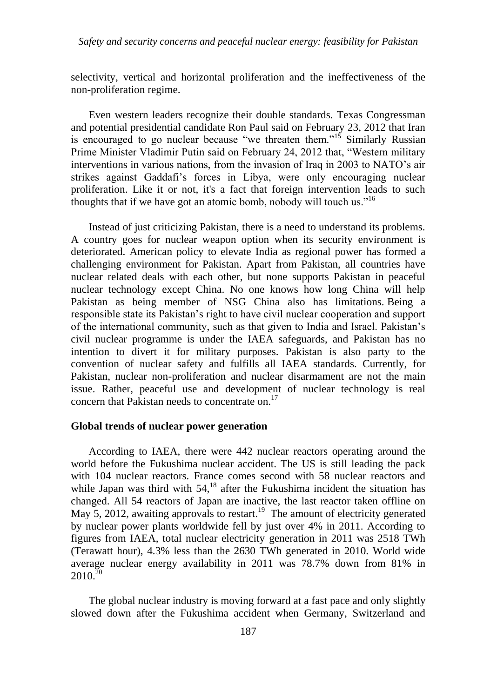selectivity, vertical and horizontal proliferation and the ineffectiveness of the non-proliferation regime.

Even western leaders recognize their double standards. Texas Congressman and potential presidential candidate Ron Paul said on February 23, 2012 that Iran is encouraged to go nuclear because "we threaten them."<sup>15</sup> Similarly Russian Prime Minister Vladimir Putin said on February 24, 2012 that, "Western military interventions in various nations, from the invasion of Iraq in 2003 to NATO"s air strikes against Gaddafi"s forces in Libya, were only encouraging nuclear proliferation. Like it or not, it's a fact that foreign intervention leads to such thoughts that if we have got an atomic bomb, nobody will touch us."<sup>16</sup>

Instead of just criticizing Pakistan, there is a need to understand its problems. A country goes for nuclear weapon option when its security environment is deteriorated. American policy to elevate India as regional power has formed a challenging environment for Pakistan. Apart from Pakistan, all countries have nuclear related deals with each other, but none supports Pakistan in peaceful nuclear technology except China. No one knows how long China will help Pakistan as being member of NSG China also has limitations. Being a responsible state its Pakistan"s right to have civil nuclear cooperation and support of the international community, such as that given to India and Israel. Pakistan"s civil nuclear programme is under the IAEA safeguards, and Pakistan has no intention to divert it for military purposes. Pakistan is also party to the convention of nuclear safety and fulfills all IAEA standards. Currently, for Pakistan, nuclear non-proliferation and nuclear disarmament are not the main issue. Rather, peaceful use and development of nuclear technology is real concern that Pakistan needs to concentrate on.<sup>17</sup>

#### **Global trends of nuclear power generation**

According to IAEA, there were 442 nuclear reactors operating around the world before the Fukushima nuclear accident. The US is still leading the pack with 104 nuclear reactors. France comes second with 58 nuclear reactors and while Japan was third with  $54<sup>18</sup>$  after the Fukushima incident the situation has changed. All 54 reactors of Japan are inactive, the last reactor taken offline on May 5, 2012, awaiting approvals to restart.<sup>19</sup> The amount of electricity generated by nuclear power plants worldwide fell by just over 4% in 2011. According to figures from IAEA, total nuclear electricity generation in 2011 was 2518 TWh (Terawatt hour), 4.3% less than the 2630 TWh generated in 2010. World wide average nuclear energy availability in 2011 was 78.7% down from 81% in  $2010^{20}$ 

The global nuclear industry is moving forward at a fast pace and only slightly slowed down after the Fukushima accident when Germany, Switzerland and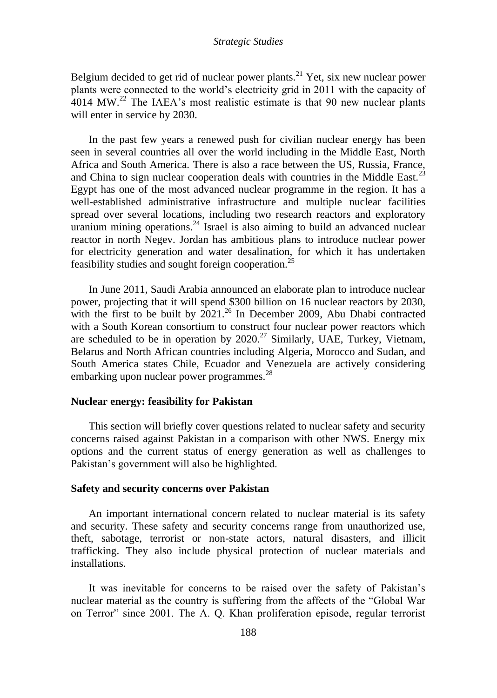Belgium decided to get rid of nuclear power plants.<sup>21</sup> Yet, six new nuclear power plants were connected to the world"s electricity grid in 2011 with the capacity of  $4014$  MW.<sup>22</sup> The IAEA's most realistic estimate is that 90 new nuclear plants will enter in service by 2030.

In the past few years a renewed push for civilian nuclear energy has been seen in several countries all over the world including in the Middle East, North Africa and South America. There is also a race between the US, Russia, France, and China to sign nuclear cooperation deals with countries in the Middle East.<sup>23</sup> Egypt has one of the most advanced nuclear programme in the region. It has a well-established administrative infrastructure and multiple nuclear facilities spread over several locations, including two research reactors and exploratory uranium mining operations.<sup>24</sup> Israel is also aiming to build an advanced nuclear reactor in north Negev. Jordan has ambitious plans to introduce nuclear power for electricity generation and water desalination, for which it has undertaken feasibility studies and sought foreign cooperation.<sup>25</sup>

In June 2011, Saudi Arabia announced an elaborate plan to introduce nuclear power, projecting that it will spend \$300 billion on 16 nuclear reactors by 2030, with the first to be built by  $2021<sup>26</sup>$  In December 2009, Abu Dhabi contracted with a South Korean consortium to construct four nuclear power reactors which are scheduled to be in operation by  $2020$ .<sup>27</sup> Similarly, UAE, Turkey, Vietnam, Belarus and North African countries including Algeria, Morocco and Sudan, and South America states Chile, Ecuador and Venezuela are actively considering embarking upon nuclear power programmes.<sup>28</sup>

#### **Nuclear energy: feasibility for Pakistan**

This section will briefly cover questions related to nuclear safety and security concerns raised against Pakistan in a comparison with other NWS. Energy mix options and the current status of energy generation as well as challenges to Pakistan's government will also be highlighted.

#### **Safety and security concerns over Pakistan**

An important international concern related to nuclear material is its safety and security. These safety and security concerns range from unauthorized use, theft, sabotage, terrorist or non-state actors, natural disasters, and illicit trafficking. They also include physical protection of nuclear materials and installations.

It was inevitable for concerns to be raised over the safety of Pakistan"s nuclear material as the country is suffering from the affects of the "Global War on Terror" since 2001. The A. Q. Khan proliferation episode, regular terrorist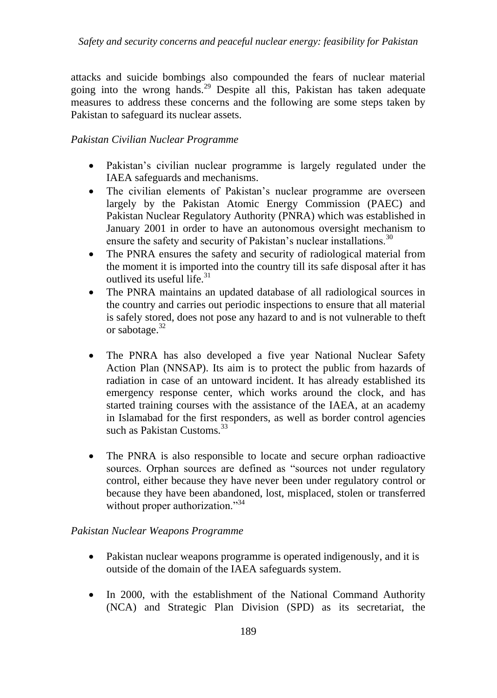attacks and suicide bombings also compounded the fears of nuclear material going into the wrong hands.<sup>29</sup> Despite all this, Pakistan has taken adequate measures to address these concerns and the following are some steps taken by Pakistan to safeguard its nuclear assets.

# *Pakistan Civilian Nuclear Programme*

- Pakistan's civilian nuclear programme is largely regulated under the IAEA safeguards and mechanisms.
- The civilian elements of Pakistan's nuclear programme are overseen largely by the Pakistan Atomic Energy Commission (PAEC) and Pakistan Nuclear Regulatory Authority (PNRA) which was established in January 2001 in order to have an autonomous oversight mechanism to ensure the safety and security of Pakistan's nuclear installations.<sup>30</sup>
- The PNRA ensures the safety and security of radiological material from the moment it is imported into the country till its safe disposal after it has outlived its useful life.<sup>31</sup>
- The PNRA maintains an updated database of all radiological sources in the country and carries out periodic inspections to ensure that all material is safely stored, does not pose any hazard to and is not vulnerable to theft or sabotage.<sup>32</sup>
- The PNRA has also developed a five year National Nuclear Safety Action Plan (NNSAP). Its aim is to protect the public from hazards of radiation in case of an untoward incident. It has already established its emergency response center, which works around the clock, and has started training courses with the assistance of the IAEA, at an academy in Islamabad for the first responders, as well as border control agencies such as Pakistan Customs.<sup>33</sup>
- The PNRA is also responsible to locate and secure orphan radioactive sources. Orphan sources are defined as "sources not under regulatory control, either because they have never been under regulatory control or because they have been abandoned, lost, misplaced, stolen or transferred without proper authorization."<sup>34</sup>

# *Pakistan Nuclear Weapons Programme*

- Pakistan nuclear weapons programme is operated indigenously, and it is outside of the domain of the IAEA safeguards system.
- In 2000, with the establishment of the National Command Authority (NCA) and Strategic Plan Division (SPD) as its secretariat, the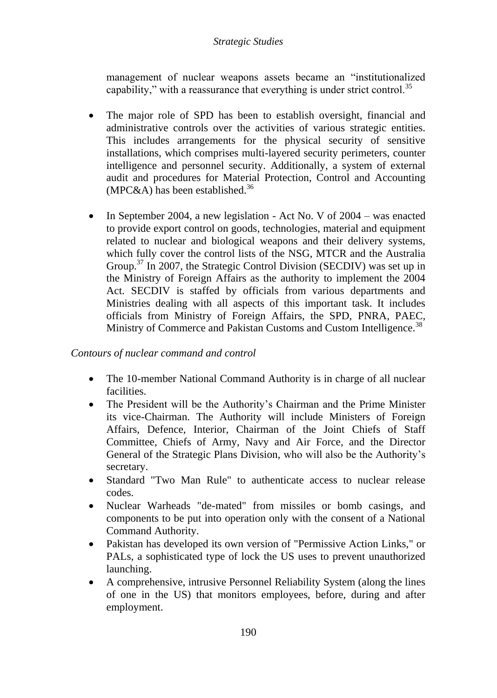management of nuclear weapons assets became an "institutionalized capability," with a reassurance that everything is under strict control.<sup>35</sup>

- The major role of SPD has been to establish oversight, financial and administrative controls over the activities of various strategic entities. This includes arrangements for the physical security of sensitive installations, which comprises multi-layered security perimeters, counter intelligence and personnel security. Additionally, a system of external audit and procedures for Material Protection, Control and Accounting (MPC&A) has been established.<sup>36</sup>
- In September 2004, a new legislation Act No. V of  $2004 -$  was enacted to provide export control on goods, technologies, material and equipment related to nuclear and biological weapons and their delivery systems, which fully cover the control lists of the NSG, MTCR and the Australia Group.<sup>37</sup> In 2007, the Strategic Control Division (SECDIV) was set up in the Ministry of Foreign Affairs as the authority to implement the 2004 Act. SECDIV is staffed by officials from various departments and Ministries dealing with all aspects of this important task. It includes officials from Ministry of Foreign Affairs, the SPD, PNRA, PAEC, Ministry of Commerce and Pakistan Customs and Custom Intelligence.<sup>38</sup>

## *Contours of nuclear command and control*

- The 10-member National Command Authority is in charge of all nuclear facilities.
- The President will be the Authority's Chairman and the Prime Minister its vice-Chairman. The Authority will include Ministers of Foreign Affairs, Defence, Interior, Chairman of the Joint Chiefs of Staff Committee, Chiefs of Army, Navy and Air Force, and the Director General of the Strategic Plans Division, who will also be the Authority"s secretary.
- Standard "Two Man Rule" to authenticate access to nuclear release codes.
- Nuclear Warheads "de-mated" from missiles or bomb casings, and components to be put into operation only with the consent of a National Command Authority.
- Pakistan has developed its own version of "Permissive Action Links," or PALs, a sophisticated type of lock the US uses to prevent unauthorized launching.
- A comprehensive, intrusive Personnel Reliability System (along the lines of one in the US) that monitors employees, before, during and after employment.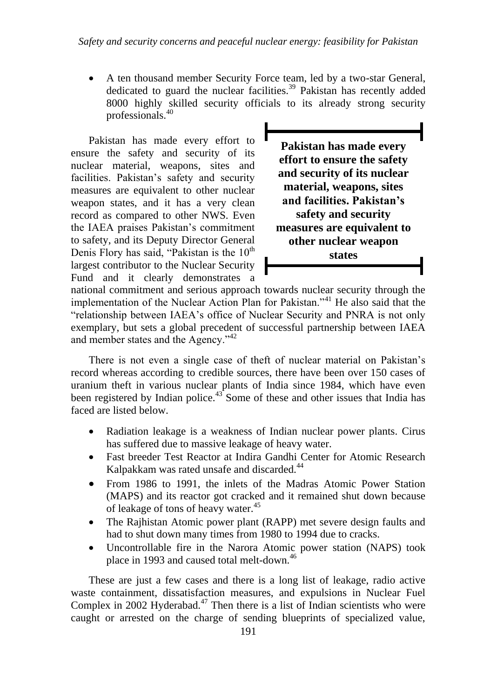A ten thousand member Security Force team, led by a two-star General, dedicated to guard the nuclear facilities.<sup>39</sup> Pakistan has recently added 8000 highly skilled security officials to its already strong security professionals.<sup>40</sup>

Pakistan has made every effort to ensure the safety and security of its nuclear material, weapons, sites and facilities. Pakistan's safety and security measures are equivalent to other nuclear weapon states, and it has a very clean record as compared to other NWS. Even the IAEA praises Pakistan"s commitment to safety, and its Deputy Director General Denis Flory has said, "Pakistan is the  $10<sup>th</sup>$ largest contributor to the Nuclear Security Fund and it clearly demonstrates a

**Pakistan has made every effort to ensure the safety and security of its nuclear material, weapons, sites and facilities. Pakistan's safety and security measures are equivalent to other nuclear weapon states**

national commitment and serious approach towards nuclear security through the implementation of the Nuclear Action Plan for Pakistan."<sup>41</sup> He also said that the "relationship between IAEA"s office of Nuclear Security and PNRA is not only exemplary, but sets a global precedent of successful partnership between IAEA and member states and the Agency."<sup>42</sup>

There is not even a single case of theft of nuclear material on Pakistan"s record whereas according to credible sources, there have been over 150 cases of uranium theft in various nuclear plants of India since 1984, which have even been registered by Indian police.<sup>43</sup> Some of these and other issues that India has faced are listed below.

- Radiation leakage is a weakness of Indian nuclear power plants. Cirus has suffered due to massive leakage of heavy water.
- Fast breeder Test Reactor at Indira Gandhi Center for Atomic Research Kalpakkam was rated unsafe and discarded.<sup>44</sup>
- From 1986 to 1991, the inlets of the Madras Atomic Power Station (MAPS) and its reactor got cracked and it remained shut down because of leakage of tons of heavy water.<sup>45</sup>
- The Rajhistan Atomic power plant (RAPP) met severe design faults and had to shut down many times from 1980 to 1994 due to cracks.
- Uncontrollable fire in the Narora Atomic power station (NAPS) took place in 1993 and caused total melt-down.<sup>46</sup>

These are just a few cases and there is a long list of leakage, radio active waste containment, dissatisfaction measures, and expulsions in Nuclear Fuel Complex in 2002 Hyderabad.<sup>47</sup> Then there is a list of Indian scientists who were caught or arrested on the charge of sending blueprints of specialized value,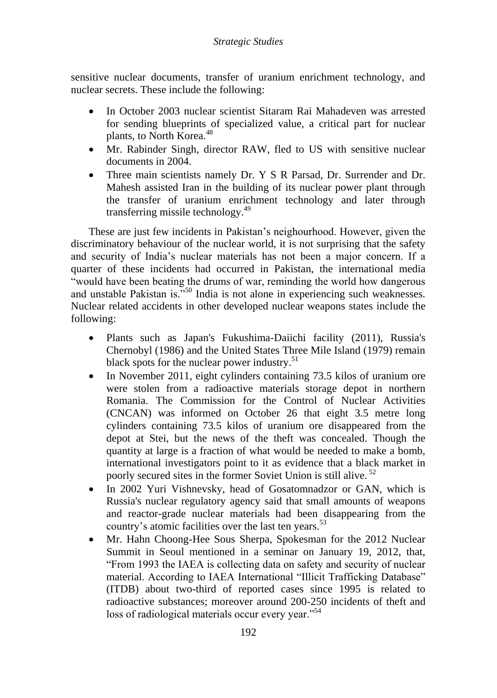sensitive nuclear documents, transfer of uranium enrichment technology, and nuclear secrets. These include the following:

- In October 2003 nuclear scientist Sitaram Rai Mahadeven was arrested for sending blueprints of specialized value, a critical part for nuclear plants, to North Korea.<sup>48</sup>
- Mr. Rabinder Singh, director RAW, fled to US with sensitive nuclear documents in 2004.
- Three main scientists namely Dr. Y S R Parsad, Dr. Surrender and Dr. Mahesh assisted Iran in the building of its nuclear power plant through the transfer of uranium enrichment technology and later through transferring missile technology.<sup>49</sup>

These are just few incidents in Pakistan"s neighourhood. However, given the discriminatory behaviour of the nuclear world, it is not surprising that the safety and security of India"s nuclear materials has not been a major concern. If a quarter of these incidents had occurred in Pakistan, the international media "would have been beating the drums of war, reminding the world how dangerous and unstable Pakistan is.<sup>"50</sup> India is not alone in experiencing such weaknesses. Nuclear related accidents in other developed nuclear weapons states include the following:

- Plants such as Japan's Fukushima-Daiichi facility (2011), Russia's Chernobyl (1986) and the United States Three Mile Island (1979) remain black spots for the nuclear power industry.<sup>51</sup>
- In November 2011, eight cylinders containing 73.5 kilos of uranium ore were stolen from a radioactive materials storage depot in northern Romania. The Commission for the Control of Nuclear Activities (CNCAN) was informed on October 26 that eight 3.5 metre long cylinders containing 73.5 kilos of uranium ore disappeared from the depot at Stei, but the news of the theft was concealed. Though the quantity at large is a fraction of what would be needed to make a bomb, international investigators point to it as evidence that a black market in poorly secured sites in the former Soviet Union is still alive.<sup>52</sup>
- In 2002 Yuri Vishnevsky, head of Gosatomnadzor or GAN, which is Russia's nuclear regulatory agency said that small amounts of weapons and reactor-grade nuclear materials had been disappearing from the country's atomic facilities over the last ten years.<sup>53</sup>
- Mr. Hahn Choong-Hee Sous Sherpa, Spokesman for the 2012 Nuclear Summit in Seoul mentioned in a seminar on January 19, 2012, that, "From 1993 the IAEA is collecting data on safety and security of nuclear material. According to IAEA International "Illicit Trafficking Database" (ITDB) about two-third of reported cases since 1995 is related to radioactive substances; moreover around 200-250 incidents of theft and loss of radiological materials occur every year."<sup>54</sup>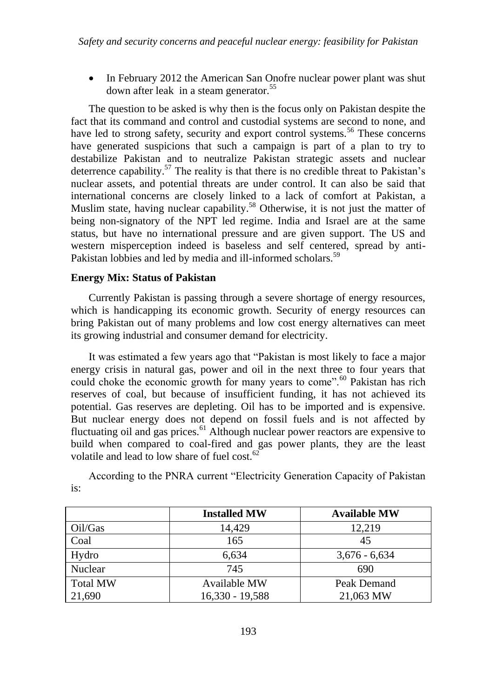• In February 2012 the American San Onofre nuclear power plant was shut down after leak [in a steam generator.](%20in%20a%20steam%20generator.%20)<sup>55</sup>

The question to be asked is why then is the focus only on Pakistan despite the fact that its command and control and custodial systems are second to none, and have led to strong safety, security and export control systems.<sup>56</sup> These concerns have generated suspicions that such a campaign is part of a plan to try to destabilize Pakistan and to neutralize Pakistan strategic assets and nuclear deterrence capability.<sup>57</sup> The reality is that there is no credible threat to Pakistan's nuclear assets, and potential threats are under control. It can also be said that international concerns are closely linked to a lack of comfort at Pakistan, a Muslim state, having nuclear capability.<sup>58</sup> Otherwise, it is not just the matter of being non-signatory of the NPT led regime. India and Israel are at the same status, but have no international pressure and are given support. The US and western misperception indeed is baseless and self centered, spread by anti-Pakistan lobbies and led by media and ill-informed scholars.<sup>59</sup>

## **Energy Mix: Status of Pakistan**

Currently Pakistan is passing through a severe shortage of energy resources, which is handicapping its economic growth. Security of energy resources can bring Pakistan out of many problems and low cost energy alternatives can meet its growing industrial and consumer demand for electricity.

It was estimated a few years ago that "Pakistan is most likely to face a major energy crisis in natural gas, power and oil in the next three to four years that could choke the economic growth for many years to come".<sup>60</sup> Pakistan has rich reserves of coal, but because of insufficient funding, it has not achieved its potential. Gas reserves are depleting. Oil has to be imported and is expensive. But nuclear energy does not depend on fossil fuels and is not affected by fluctuating oil and gas prices.<sup>61</sup> Although nuclear power reactors are expensive to build when compared to coal-fired and gas power plants, they are the least volatile and lead to low share of fuel cost.<sup>62</sup>

According to the PNRA current "Electricity Generation Capacity of Pakistan is:

|                 | <b>Installed MW</b> | <b>Available MW</b> |
|-----------------|---------------------|---------------------|
| Oil/Gas         | 14,429              | 12,219              |
| Coal            | 165                 | 45                  |
| Hydro           | 6,634               | $3,676 - 6,634$     |
| Nuclear         | 745                 | 690                 |
| <b>Total MW</b> | Available MW        | Peak Demand         |
| 21,690          | $16,330 - 19,588$   | 21,063 MW           |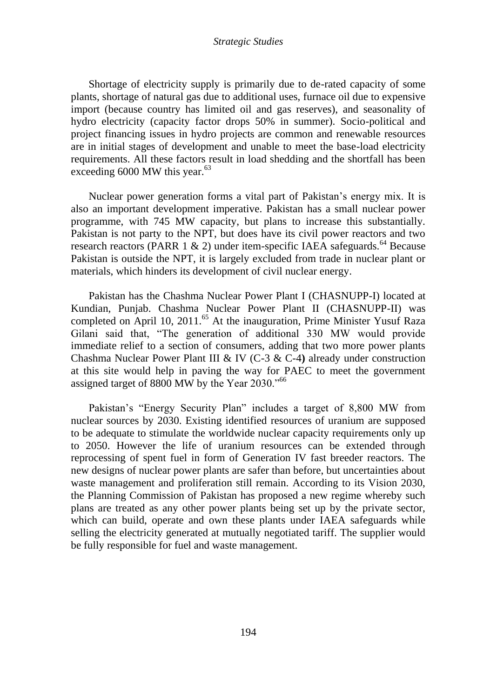Shortage of electricity supply is primarily due to de-rated capacity of some plants, shortage of natural gas due to additional uses, furnace oil due to expensive import (because country has limited oil and gas reserves), and seasonality of hydro electricity (capacity factor drops 50% in summer). Socio-political and project financing issues in hydro projects are common and renewable resources are in initial stages of development and unable to meet the base-load electricity requirements. All these factors result in load shedding and the shortfall has been exceeding  $6000$  MW this year.<sup>63</sup>

Nuclear power generation forms a vital part of Pakistan"s energy mix. It is also an important development imperative. Pakistan has a small nuclear power programme, with 745 MW capacity, but plans to increase this substantially. Pakistan is not party to the NPT, but does have its civil power reactors and two research reactors (PARR 1 & 2) under item-specific IAEA safeguards.<sup>64</sup> Because Pakistan is outside the NPT, it is largely excluded from trade in nuclear plant or materials, which hinders its development of civil nuclear energy.

Pakistan has the Chashma Nuclear Power Plant I (CHASNUPP-I) located at Kundian, Punjab. Chashma Nuclear Power Plant II (CHASNUPP-II) was completed on April 10, 2011.<sup>65</sup> At the inauguration, Prime Minister Yusuf Raza Gilani said that, "The generation of additional 330 MW would provide immediate relief to a section of consumers, adding that two more power plants Chashma Nuclear Power Plant III & IV (C-3 & C-4**)** already under construction at this site would help in paving the way for PAEC to meet the government assigned target of 8800 MW by the Year 2030."<sup>66</sup>

Pakistan"s "Energy Security Plan" includes a target of 8,800 MW from nuclear sources by 2030. Existing identified resources of uranium are supposed to be adequate to stimulate the worldwide nuclear capacity requirements only up to 2050. However the life of uranium resources can be extended through reprocessing of spent fuel in form of Generation IV fast breeder reactors. The new designs of nuclear power plants are safer than before, but uncertainties about waste management and proliferation still remain. According to its Vision 2030, the Planning Commission of Pakistan has proposed a new regime whereby such plans are treated as any other power plants being set up by the private sector, which can build, operate and own these plants under IAEA safeguards while selling the electricity generated at mutually negotiated tariff. The supplier would be fully responsible for fuel and waste management.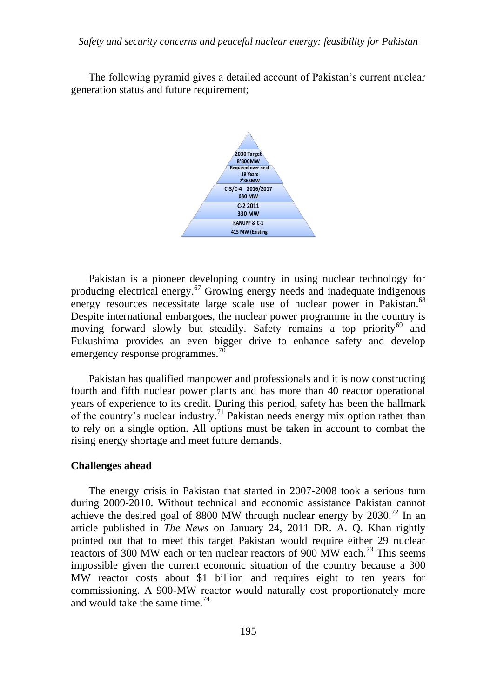The following pyramid gives a detailed account of Pakistan"s current nuclear generation status and future requirement;



Pakistan is a pioneer developing country in using nuclear technology for producing electrical energy.<sup>67</sup> Growing energy needs and inadequate indigenous energy resources necessitate large scale use of nuclear power in Pakistan.<sup>68</sup> Despite international embargoes, the nuclear power programme in the country is moving forward slowly but steadily. Safety remains a top priority<sup>69</sup> and Fukushima provides an even bigger drive to enhance safety and develop emergency response programmes.<sup>70</sup>

Pakistan has qualified manpower and professionals and it is now constructing fourth and fifth nuclear power plants and has more than 40 reactor operational years of experience to its credit. During this period, safety has been the hallmark of the country's nuclear industry.<sup>71</sup> Pakistan needs energy mix option rather than to rely on a single option. All options must be taken in account to combat the rising energy shortage and meet future demands.

#### **Challenges ahead**

The energy crisis in Pakistan that started in 2007-2008 took a serious turn during 2009-2010. Without technical and economic assistance Pakistan cannot achieve the desired goal of 8800 MW through nuclear energy by  $2030$ <sup>72</sup> In an article published in *The News* on January 24, 2011 DR. A. Q. Khan rightly pointed out that to meet this target Pakistan would require either 29 nuclear reactors of 300 MW each or ten nuclear reactors of 900 MW each.<sup>73</sup> This seems impossible given the current economic situation of the country because a 300 MW reactor costs about \$1 billion and requires eight to ten years for commissioning. A 900-MW reactor would naturally cost proportionately more and would take the same time.  $74$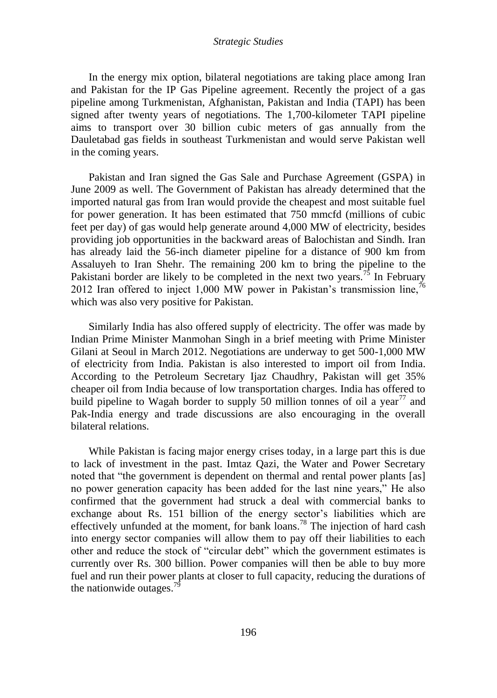In the energy mix option, bilateral negotiations are taking place among Iran and Pakistan for the IP Gas Pipeline agreement. Recently the project of a gas pipeline among Turkmenistan, Afghanistan, Pakistan and India (TAPI) has been signed after twenty years of negotiations. The 1,700-kilometer TAPI pipeline aims to transport over 30 billion cubic meters of gas annually from the Dauletabad gas fields in southeast Turkmenistan and would serve Pakistan well in the coming years.

Pakistan and Iran signed the Gas Sale and Purchase Agreement (GSPA) in June 2009 as well. The Government of Pakistan has already determined that the imported natural gas from Iran would provide the cheapest and most suitable fuel for power generation. It has been estimated that 750 mmcfd (millions of cubic feet per day) of gas would help generate around 4,000 MW of electricity, besides providing job opportunities in the backward areas of Balochistan and Sindh. Iran has already laid the 56-inch diameter pipeline for a distance of 900 km from Assaluyeh to Iran Shehr. The remaining 200 km to bring the pipeline to the Pakistani border are likely to be completed in the next two years.<sup>75</sup> In February 2012 Iran offered to inject 1,000 MW power in Pakistan's transmission line,<sup>76</sup> which was also very positive for Pakistan.

Similarly India has also offered supply of electricity. The offer was made by Indian Prime Minister Manmohan Singh in a brief meeting with Prime Minister Gilani at Seoul in March 2012. Negotiations are underway to get 500-1,000 MW of electricity from India. Pakistan is also interested to import oil from India. According to the Petroleum Secretary Ijaz Chaudhry, Pakistan will get 35% cheaper oil from India because of low transportation charges. India has offered to build pipeline to Wagah border to supply 50 million tonnes of oil a year<sup>77</sup> and Pak-India energy and trade discussions are also encouraging in the overall bilateral relations.

While Pakistan is facing major energy crises today, in a large part this is due to lack of investment in the past. Imtaz Qazi, the Water and Power Secretary noted that "the government is dependent on thermal and rental power plants [as] no power generation capacity has been added for the last nine years," He also confirmed that the government had struck a deal with commercial banks to exchange about Rs. 151 billion of the energy sector's liabilities which are effectively unfunded at the moment, for bank loans.<sup>78</sup> The injection of hard cash into energy sector companies will allow them to pay off their liabilities to each other and reduce the stock of "circular debt" which the government estimates is currently over Rs. 300 billion. Power companies will then be able to buy more fuel and run their power plants at closer to full capacity, reducing the durations of the nationwide outages. $^{79}$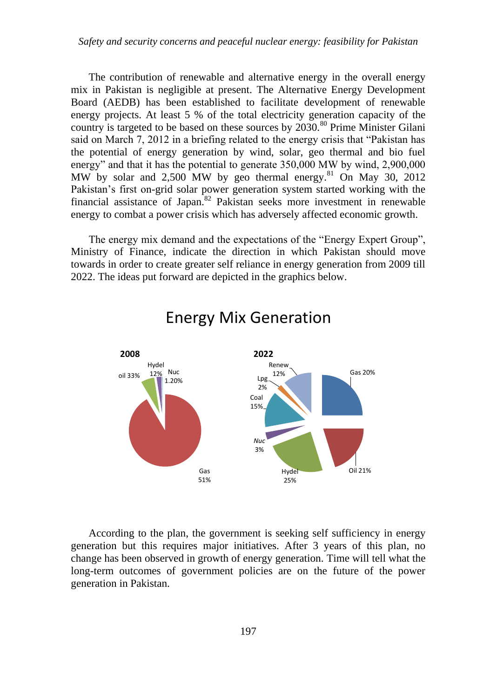The contribution of renewable and alternative energy in the overall energy mix in Pakistan is negligible at present. The Alternative Energy Development Board (AEDB) has been established to facilitate development of renewable energy projects. At least 5 % of the total electricity generation capacity of the country is targeted to be based on these sources by  $2030$ .<sup>80</sup> Prime Minister Gilani said on March 7, 2012 in a briefing related to the energy crisis that "Pakistan has the potential of energy generation by wind, solar, geo thermal and bio fuel energy" and that it has the potential to generate 350,000 MW by wind, 2,900,000 MW by solar and  $2,500$  MW by geo thermal energy.<sup>81</sup> On May 30, 2012 Pakistan's first on-grid solar power generation system started working with the financial assistance of Japan.<sup>82</sup> Pakistan seeks more investment in renewable energy to combat a power crisis which has adversely affected economic growth.

The energy mix demand and the expectations of the "Energy Expert Group", Ministry of Finance, indicate the direction in which Pakistan should move towards in order to create greater self reliance in energy generation from 2009 till 2022. The ideas put forward are depicted in the graphics below.



# Energy Mix Generation

According to the plan, the government is seeking self sufficiency in energy generation but this requires major initiatives. After 3 years of this plan, no change has been observed in growth of energy generation. Time will tell what the long-term outcomes of government policies are on the future of the power generation in Pakistan.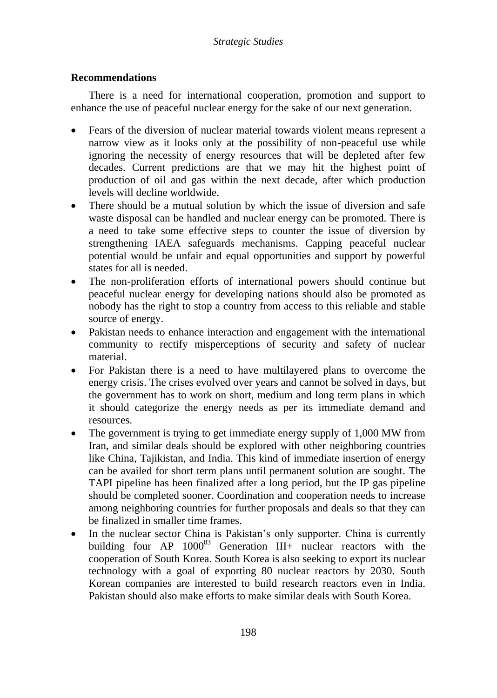# **Recommendations**

There is a need for international cooperation, promotion and support to enhance the use of peaceful nuclear energy for the sake of our next generation.

- Fears of the diversion of nuclear material towards violent means represent a narrow view as it looks only at the possibility of non-peaceful use while ignoring the necessity of energy resources that will be depleted after few decades. Current predictions are that we may hit the highest point of production of oil and gas within the next decade, after which production levels will decline worldwide.
- There should be a mutual solution by which the issue of diversion and safe waste disposal can be handled and nuclear energy can be promoted. There is a need to take some effective steps to counter the issue of diversion by strengthening IAEA safeguards mechanisms. Capping peaceful nuclear potential would be unfair and equal opportunities and support by powerful states for all is needed.
- The non-proliferation efforts of international powers should continue but peaceful nuclear energy for developing nations should also be promoted as nobody has the right to stop a country from access to this reliable and stable source of energy.
- Pakistan needs to enhance interaction and engagement with the international community to rectify misperceptions of security and safety of nuclear material.
- For Pakistan there is a need to have multilayered plans to overcome the energy crisis. The crises evolved over years and cannot be solved in days, but the government has to work on short, medium and long term plans in which it should categorize the energy needs as per its immediate demand and resources.
- The government is trying to get immediate energy supply of 1,000 MW from Iran, and similar deals should be explored with other neighboring countries like China, Tajikistan, and India. This kind of immediate insertion of energy can be availed for short term plans until permanent solution are sought. The TAPI pipeline has been finalized after a long period, but the IP gas pipeline should be completed sooner. Coordination and cooperation needs to increase among neighboring countries for further proposals and deals so that they can be finalized in smaller time frames.
- In the nuclear sector China is Pakistan's only supporter. China is currently building four  $AP = 1000^{83}$  Generation  $III<sub>+</sub>$  nuclear reactors with the cooperation of South Korea. South Korea is also seeking to export its nuclear technology with a goal of exporting 80 nuclear reactors by 2030. South Korean companies are interested to build research reactors even in India. Pakistan should also make efforts to make similar deals with South Korea.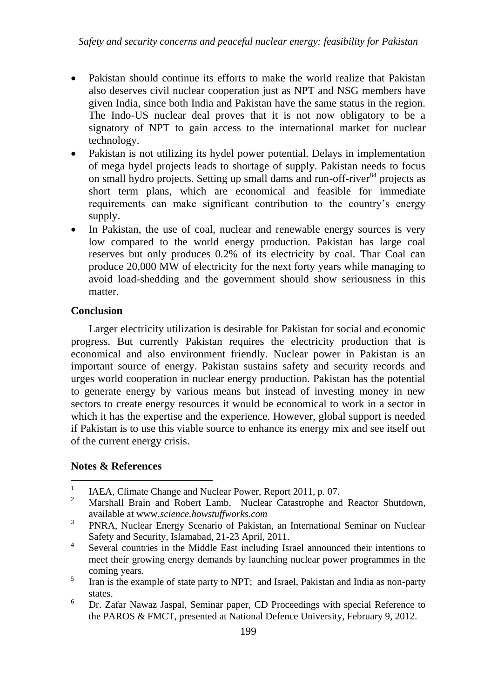- Pakistan should continue its efforts to make the world realize that Pakistan also deserves civil nuclear cooperation just as NPT and NSG members have given India, since both India and Pakistan have the same status in the region. The Indo-US nuclear deal proves that it is not now obligatory to be a signatory of NPT to gain access to the international market for nuclear technology.
- Pakistan is not utilizing its hydel power potential. Delays in implementation of mega hydel projects leads to shortage of supply. Pakistan needs to focus on small hydro projects. Setting up small dams and run-off-river<sup>84</sup> projects as short term plans, which are economical and feasible for immediate requirements can make significant contribution to the country"s energy supply.
- In Pakistan, the use of coal, nuclear and renewable energy sources is very low compared to the world energy production. Pakistan has large coal reserves but only produces 0.2% of its electricity by coal. Thar Coal can produce 20,000 MW of electricity for the next forty years while managing to avoid load-shedding and the government should show seriousness in this matter.

# **Conclusion**

Larger electricity utilization is desirable for Pakistan for social and economic progress. But currently Pakistan requires the electricity production that is economical and also environment friendly. Nuclear power in Pakistan is an important source of energy. Pakistan sustains safety and security records and urges world cooperation in nuclear energy production. Pakistan has the potential to generate energy by various means but instead of investing money in new sectors to create energy resources it would be economical to work in a sector in which it has the expertise and the experience. However, global support is needed if Pakistan is to use this viable source to enhance its energy mix and see itself out of the current energy crisis.

## **Notes & References**

<sup>6</sup> Dr. Zafar Nawaz Jaspal, Seminar paper, CD Proceedings with special Reference to the PAROS & FMCT, presented at National Defence University, February 9, 2012.

 $\frac{1}{1}$ IAEA, Climate Change and Nuclear Power, Report 2011, p. 07.

<sup>&</sup>lt;sup>2</sup> Marshall Brain and Robert Lamb, Nuclear Catastrophe and Reactor Shutdown, available at www.*science.howstuffworks.com*

<sup>3</sup> PNRA, Nuclear Energy Scenario of Pakistan, an International Seminar on Nuclear Safety and Security, Islamabad, 21-23 April, 2011.

<sup>4</sup> Several countries in the Middle East including Israel announced their intentions to meet their growing energy demands by launching nuclear power programmes in the coming years.

<sup>5</sup> Iran is the example of state party to NPT; and Israel, Pakistan and India as non-party states.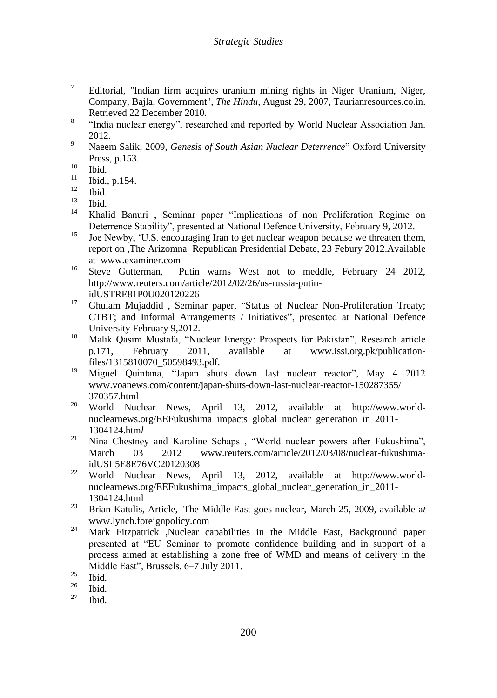- $\overline{7}$ <sup>7</sup> Editorial, "Indian firm acquires uranium mining rights in Niger Uranium, Niger, Company, Bajla, Government", *The Hindu,* August 29, 2007, Taurianresources.co.in. Retrieved 22 December 2010*.*
- 8 "India nuclear energy", researched and reported by World Nuclear Association Jan. 2012.
- <sup>9</sup> Naeem Salik, 2009, *Genesis of South Asian Nuclear Deterrence*" Oxford University Press, p.153.
- $\frac{10}{11}$  Ibid.
- $\frac{11}{12}$  Ibid., p.154.
- $\frac{12}{13}$  Ibid.
- Ibid.
- 14 Khalid Banuri , Seminar paper "Implications of non Proliferation Regime on Deterrence Stability", presented at National Defence University, February 9, 2012.
- $15$  Joe Newby, "U.S. encouraging Iran to get nuclear weapon because we threaten them, report on ,The Arizomna Republican Presidential Debate, 23 Febury 2012.Available at www.examiner.com
- <sup>16</sup> Steve Gutterman, Putin warns West not to meddle, February 24 2012, http://www.reuters.com/article/2012/02/26/us-russia-putinidUSTRE81P0U020120226
- <sup>17</sup> Ghulam Mujaddid, Seminar paper, "Status of Nuclear Non-Proliferation Treaty; CTBT; and Informal Arrangements / Initiatives", presented at National Defence University February 9,2012.
- <sup>18</sup> Malik Qasim Mustafa, "Nuclear Energy: Prospects for Pakistan", Research article<br>p.171, February 2011, available at www.issi.org.pk/publicationp.171, February 2011, available at www.issi.org.pk/publicationfiles/1315810070\_50598493.pdf.
- <sup>19</sup> Miguel Quintana, "Japan shuts down last nuclear reactor", May 4 2012 www.voanews.com/content/japan-shuts-down-last-nuclear-reactor-150287355/ 370357.html
- <sup>20</sup> World Nuclear News, April 13, 2012, available at http://www.worldnuclearnews.org/EEFukushima\_impacts\_global\_nuclear\_generation\_in\_2011- 1304124.htm*l*
- <sup>21</sup> Nina Chestney and Karoline Schaps, "World nuclear powers after Fukushima", March 03 2012 www.reuters.com/article/2012/03/08/nuclear-fukushimaidUSL5E8E76VC20120308
- <sup>22</sup> World Nuclear News, April 13, 2012, available at http://www.worldnuclearnews.org/EEFukushima\_impacts\_global\_nuclear\_generation\_in\_2011- 1304124.html
- <sup>23</sup> Brian Katulis, Article, The Middle East goes nuclear, March 25, 2009, available a*t*  www.lynch.foreignpolicy.com
- <sup>24</sup> Mark Fitzpatrick Nuclear capabilities in the Middle East, Background paper presented at "EU Seminar to promote confidence building and in support of a process aimed at establishing a zone free of WMD and means of delivery in the Middle East", Brussels, 6–7 July 2011.

 $rac{25}{26}$  Ibid.

 $rac{26}{27}$  Ibid.

Ibid.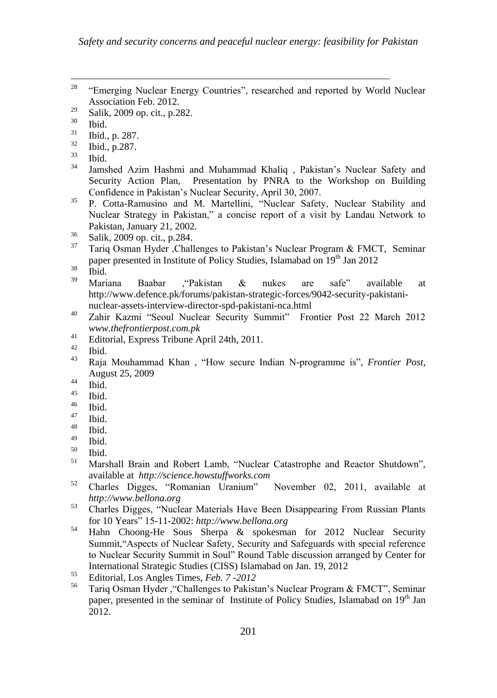<sup>201</sup>  $\overline{a}$ <sup>28</sup> "Emerging Nuclear Energy Countries", researched and reported by World Nuclear Association Feb. 2012.  $\frac{29}{30}$  Salik, 2009 op. cit., p.282.  $rac{30}{31}$  Ibid.  $\frac{31}{32}$  Ibid., p. 287.  $\frac{32}{33}$  Ibid., p.287.  $rac{33}{34}$  Ibid. Jamshed Azim Hashmi and Muhammad Khaliq , Pakistan's Nuclear Safety and Security Action Plan, Presentation by PNRA to the Workshop on Building Confidence in Pakistan"s Nuclear Security, April 30, 2007. <sup>35</sup> P. Cotta-Ramusino and M. Martellini, "Nuclear Safety, Nuclear Stability and Nuclear Strategy in Pakistan," a concise report of a visit by Landau Network to Pakistan, January 21, 2002.  $rac{36}{37}$  Salik, 2009 op. cit., p.284. <sup>37</sup> Tariq Osman Hyder ,Challenges to Pakistan"s Nuclear Program & FMCT, Seminar paper presented in Institute of Policy Studies, Islamabad on 19<sup>th</sup> Jan 2012  $rac{38}{39}$  Ibid. <sup>39</sup> Mariana Baabar ,"Pakistan & nukes are safe" available at http://www.defence.pk/forums/pakistan-strategic-forces/9042-security-pakistaninuclear-assets-interview-director-spd-pakistani-nca.html <sup>40</sup> Zahir Kazmi "Seoul Nuclear Security Summit" Frontier Post 22 March 2012 *www.thefrontierpost.com.pk* <sup>41</sup> Editorial, Express Tribune April 24th, 2011.  $\frac{42}{43}$  Ibid. <sup>43</sup> Raja Mouhammad Khan , "How secure Indian N-programme is", *Frontier Post*, August 25, 2009  $44$  Ibid.  $^{45}$  Ibid.  $rac{46}{47}$  Ibid.  $\frac{47}{48}$  Ibid.  $^{48}_{49}$  Ibid.  $\frac{49}{50}$  Ibid.  $^{50}$  Ibid. Marshall Brain and Robert Lamb, "Nuclear Catastrophe and Reactor Shutdown", available at *http://science.howstuffworks.com* <sup>52</sup> Charles Digges, "Romanian Uranium" November 02, 2011, available at *http://www.bellona.org* <sup>53</sup> Charles Digges, "Nuclear Materials Have Been Disappearing From Russian Plants for 10 Years" 15-11-2002: *http://www.bellona.org* <sup>54</sup> Hahn Choong-He Sous Sherpa & spokesman for 2012 Nuclear Security Summit,"Aspects of Nuclear Safety, Security and Safeguards with special reference to Nuclear Security Summit in Soul" Round Table discussion arranged by Center for International Strategic Studies (CISS) Islamabad on Jan. 19, 2012 <sup>55</sup> Editorial, Los Angles Times, *Feb. 7 -2012* Tariq Osman Hyder , "Challenges to Pakistan's Nuclear Program & FMCT", Seminar paper, presented in the seminar of Institute of Policy Studies, Islamabad on 19<sup>th</sup> Jan 2012.